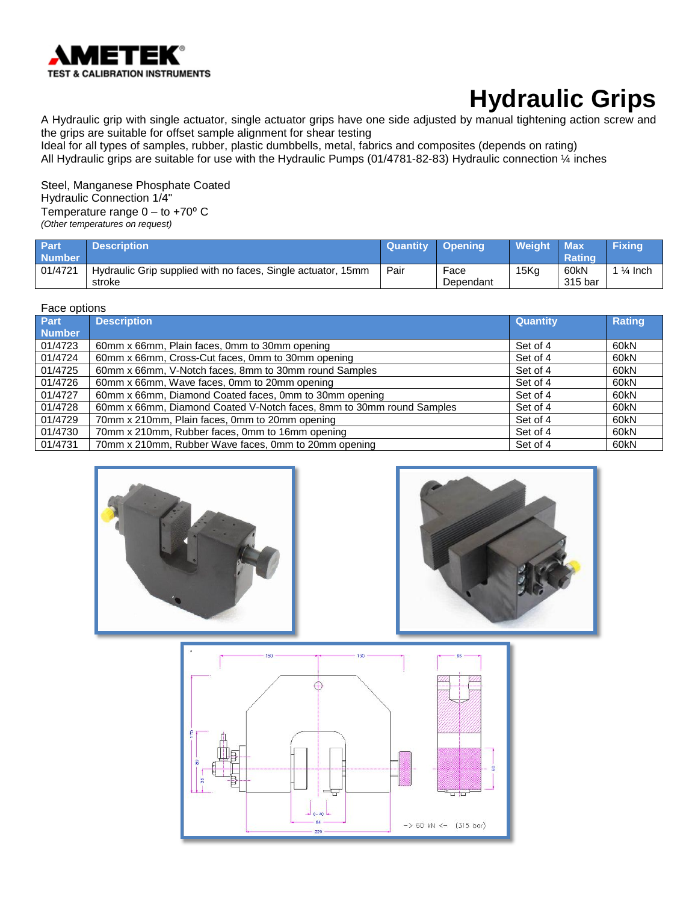

A Hydraulic grip with single actuator, single actuator grips have one side adjusted by manual tightening action screw and the grips are suitable for offset sample alignment for shear testing

Ideal for all types of samples, rubber, plastic dumbbells, metal, fabrics and composites (depends on rating) All Hydraulic grips are suitable for use with the Hydraulic Pumps (01/4781-82-83) Hydraulic connection ¼ inches

Steel, Manganese Phosphate Coated Hydraulic Connection 1/4" Temperature range  $0 -$  to +70 $\degree$  C *(Other temperatures on request)*

| <b>Part</b><br><b>Number</b> | <b>Description</b>                                                     | <b>Quantity</b> | Opening           | Weight | <b>Max</b><br><b>Rating</b> | <b>Fixing</b>      |
|------------------------------|------------------------------------------------------------------------|-----------------|-------------------|--------|-----------------------------|--------------------|
| 01/4721                      | Hydraulic Grip supplied with no faces, Single actuator, 15mm<br>stroke | Pair            | Face<br>Dependant | 15Kq   | 60kN<br>315 bar             | $\frac{1}{4}$ Inch |

#### Face options

| Part          | <b>Description</b>                                                   | <b>Quantity</b> | Rating |
|---------------|----------------------------------------------------------------------|-----------------|--------|
| <b>Number</b> |                                                                      |                 |        |
| 01/4723       | 60mm x 66mm, Plain faces, 0mm to 30mm opening                        | Set of 4        | 60kN   |
| 01/4724       | 60mm x 66mm, Cross-Cut faces, 0mm to 30mm opening                    | Set of 4        | 60kN   |
| 01/4725       | 60mm x 66mm, V-Notch faces, 8mm to 30mm round Samples                | Set of 4        | 60kN   |
| 01/4726       | 60mm x 66mm, Wave faces, 0mm to 20mm opening                         | Set of 4        | 60kN   |
| 01/4727       | 60mm x 66mm, Diamond Coated faces, 0mm to 30mm opening               | Set of 4        | 60kN   |
| 01/4728       | 60mm x 66mm, Diamond Coated V-Notch faces, 8mm to 30mm round Samples | Set of 4        | 60kN   |
| 01/4729       | 70mm x 210mm, Plain faces, 0mm to 20mm opening                       | Set of 4        | 60kN   |
| 01/4730       | 70mm x 210mm, Rubber faces, 0mm to 16mm opening                      | Set of 4        | 60kN   |
| 01/4731       | 70mm x 210mm, Rubber Wave faces, 0mm to 20mm opening                 | Set of 4        | 60kN   |





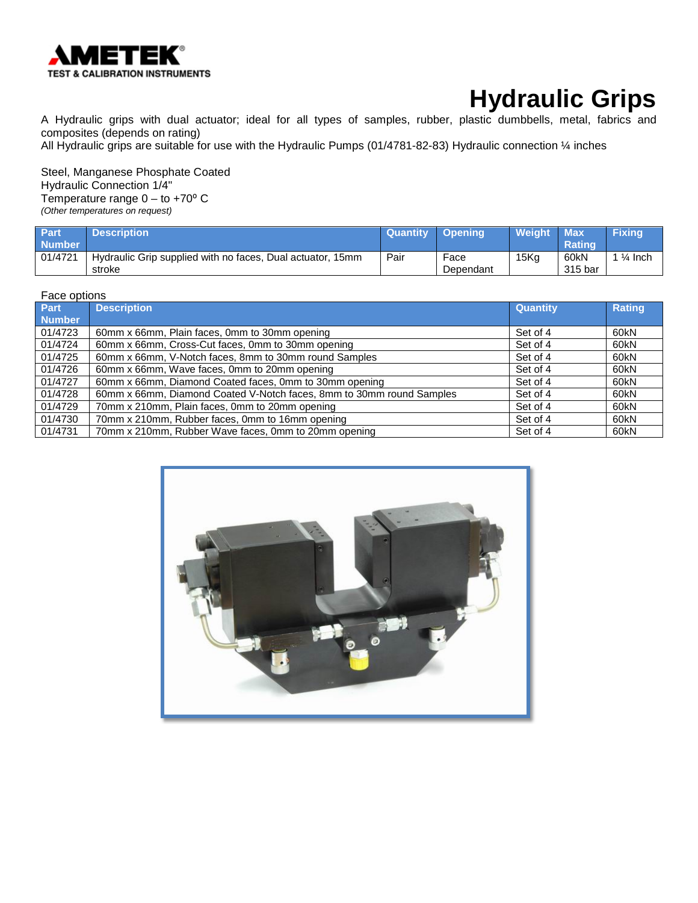

A Hydraulic grips with dual actuator; ideal for all types of samples, rubber, plastic dumbbells, metal, fabrics and composites (depends on rating)

All Hydraulic grips are suitable for use with the Hydraulic Pumps (01/4781-82-83) Hydraulic connection ¼ inches

Steel, Manganese Phosphate Coated Hydraulic Connection 1/4" Temperature range  $0 -$  to +70 $\degree$  C *(Other temperatures on request)*

| <b>Part</b><br><b>Number</b> | <b>Description</b>                                                   | Quantity | <b>Coening</b>    | <b>Weight</b> | <b>Max</b><br><b>Rating</b> | <b>Fixing</b>        |
|------------------------------|----------------------------------------------------------------------|----------|-------------------|---------------|-----------------------------|----------------------|
| 01/4721                      | Hydraulic Grip supplied with no faces, Dual actuator, 15mm<br>stroke | Pair     | Face<br>Dependant | 15Kg          | 60kN<br>315 bar             | 1 $\frac{1}{4}$ Inch |

### Face options

| <b>Part</b>   | <b>Description</b>                                                   | <b>Quantity</b> | <b>Rating</b> |
|---------------|----------------------------------------------------------------------|-----------------|---------------|
| <b>Number</b> |                                                                      |                 |               |
| 01/4723       | 60mm x 66mm, Plain faces, 0mm to 30mm opening                        | Set of 4        | 60kN          |
| 01/4724       | 60mm x 66mm, Cross-Cut faces, 0mm to 30mm opening                    | Set of 4        | 60kN          |
| 01/4725       | 60mm x 66mm, V-Notch faces, 8mm to 30mm round Samples                | Set of 4        | 60kN          |
| 01/4726       | 60mm x 66mm, Wave faces, 0mm to 20mm opening                         | Set of 4        | 60kN          |
| 01/4727       | 60mm x 66mm, Diamond Coated faces, 0mm to 30mm opening               | Set of 4        | 60kN          |
| 01/4728       | 60mm x 66mm, Diamond Coated V-Notch faces, 8mm to 30mm round Samples | Set of 4        | 60kN          |
| 01/4729       | 70mm x 210mm, Plain faces, 0mm to 20mm opening                       | Set of 4        | 60kN          |
| 01/4730       | 70mm x 210mm, Rubber faces, 0mm to 16mm opening                      | Set of 4        | 60kN          |
| 01/4731       | 70mm x 210mm, Rubber Wave faces, 0mm to 20mm opening                 | Set of 4        | 60kN          |

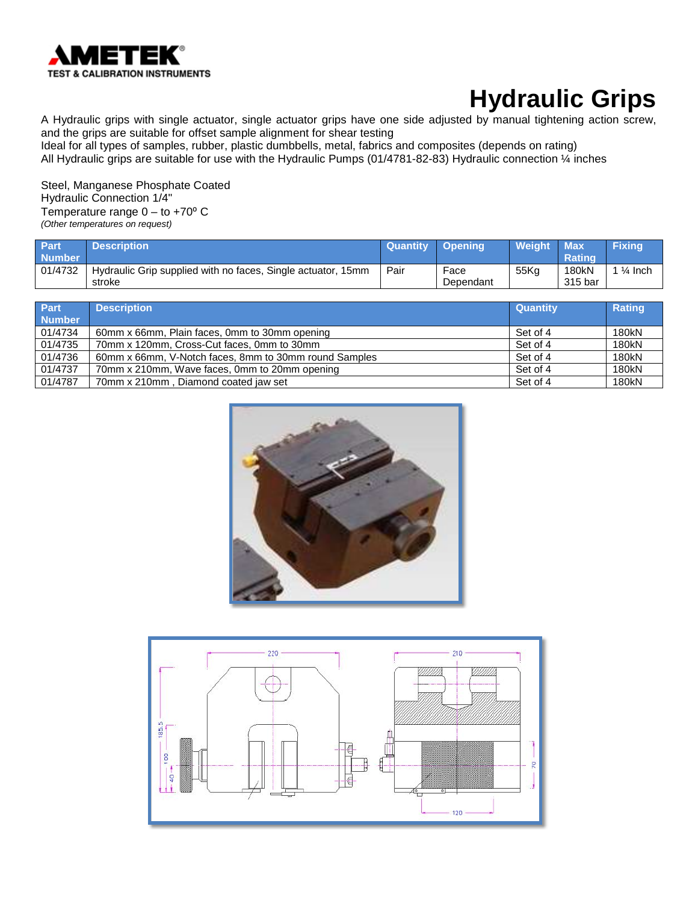

A Hydraulic grips with single actuator, single actuator grips have one side adjusted by manual tightening action screw, and the grips are suitable for offset sample alignment for shear testing Ideal for all types of samples, rubber, plastic dumbbells, metal, fabrics and composites (depends on rating)

All Hydraulic grips are suitable for use with the Hydraulic Pumps (01/4781-82-83) Hydraulic connection ¼ inches

Steel, Manganese Phosphate Coated Hydraulic Connection 1/4" Temperature range  $0 -$  to +70 $\degree$  C *(Other temperatures on request)*

| <b>Part</b><br>Number | <b>Description</b>                                                     | <b>Quantity</b> | Opening           | Weight           | <b>Max</b><br><b>Rating</b> | <b>Fixing</b>      |
|-----------------------|------------------------------------------------------------------------|-----------------|-------------------|------------------|-----------------------------|--------------------|
| 01/4732               | Hydraulic Grip supplied with no faces, Single actuator, 15mm<br>stroke | Pair            | Face<br>Dependant | 55K <sub>a</sub> | 180kN<br>315 bar            | $\frac{1}{4}$ Inch |

| Part<br><b>Number</b> | <b>Description</b>                                    | <b>Quantity</b> | <b>Rating</b> |
|-----------------------|-------------------------------------------------------|-----------------|---------------|
| 01/4734               | 60mm x 66mm, Plain faces, 0mm to 30mm opening         | Set of 4        | 180kN         |
| 01/4735               | 70mm x 120mm, Cross-Cut faces, 0mm to 30mm            | Set of 4        | 180kN         |
| 01/4736               | 60mm x 66mm, V-Notch faces, 8mm to 30mm round Samples | Set of 4        | 180kN         |
| 01/4737               | 70mm x 210mm, Wave faces, 0mm to 20mm opening         | Set of 4        | 180kN         |
| 01/4787               | 70mm x 210mm, Diamond coated jaw set                  | Set of 4        | 180kN         |



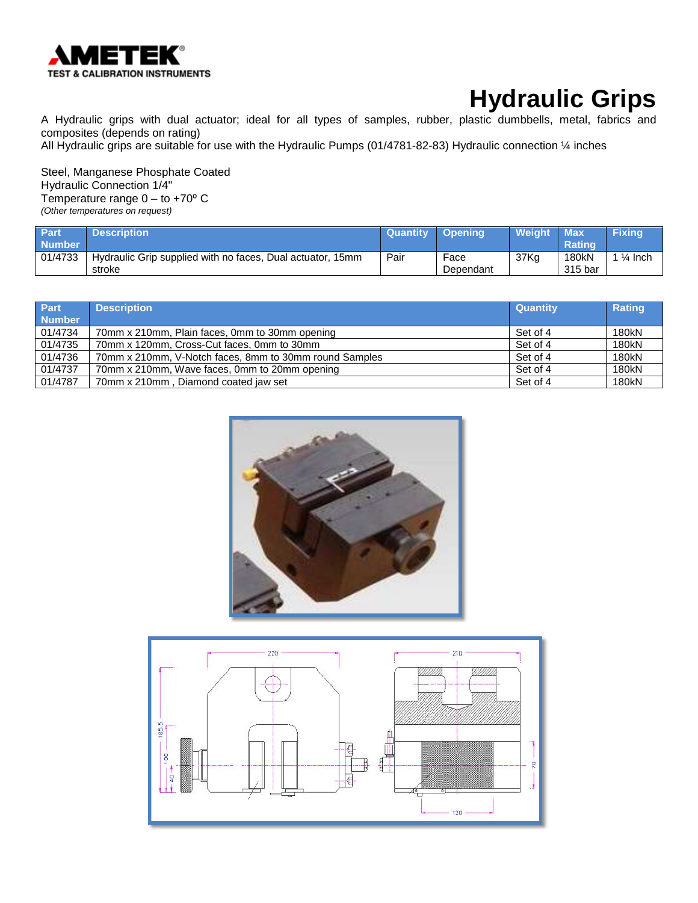

A Hydraulic grips with dual actuator; ideal for all types of samples, rubber, plastic dumbbells, metal, fabrics and composites (depends on rating)

All Hydraulic grips are suitable for use with the Hydraulic Pumps (01/4781-82-83) Hydraulic connection ¼ inches

Steel, Manganese Phosphate Coated Hydraulic Connection 1/4" Temperature range 0 – to +70° C *(Other temperatures on request)*

| Part          | <b>Description</b>                                         | <b>Quantity</b> | ∣ Opening' | Weight | <b>Max</b>    | <b>Fixing</b> |
|---------------|------------------------------------------------------------|-----------------|------------|--------|---------------|---------------|
| <b>Number</b> |                                                            |                 |            |        | <b>Rating</b> |               |
| 01/4733       | Hydraulic Grip supplied with no faces, Dual actuator, 15mm | Pair            | Face       | 37Kg   | 180kN         | '¼ Inch       |
|               | stroke                                                     |                 | Dependant  |        | 315 bar       |               |

| <b>Part</b><br><b>Number</b> | <b>Description</b>                                     | <b>Quantity</b> | <b>Rating</b> |
|------------------------------|--------------------------------------------------------|-----------------|---------------|
| 01/4734                      | 70mm x 210mm, Plain faces, 0mm to 30mm opening         | Set of 4        | 180kN         |
| 01/4735                      | 70mm x 120mm, Cross-Cut faces, 0mm to 30mm             | Set of 4        | 180kN         |
| 01/4736                      | 70mm x 210mm, V-Notch faces, 8mm to 30mm round Samples | Set of 4        | 180kN         |
| 01/4737                      | 70mm x 210mm, Wave faces, 0mm to 20mm opening          | Set of 4        | 180kN         |
| 01/4787                      | 70mm x 210mm, Diamond coated jaw set                   | Set of 4        | 180kN         |